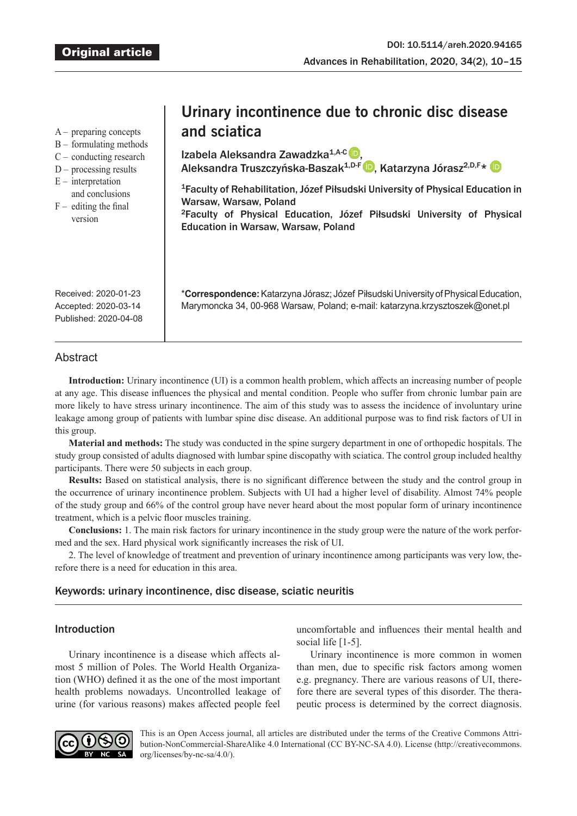A – preparing concepts

- B formulating methods
- C conducting research
- D processing results
- $E$  interpretation
- and conclusions
- $F -$  editing the final version

# **Urinary incontinence due to chronic disc disease and sciatica**

IzabelaAleksandra Zawadzka<sup>1,A-C</sup> D. AleksandraTruszczyńska-Baszak<sup>1,D-F</sup> D, Katarzyna Jórasz<sup>2,D,F\*</sup> D

<sup>1</sup>Faculty of Rehabilitation, Józef Piłsudski University of Physical Education in Warsaw, Warsaw, Poland <sup>2</sup>Faculty of Physical Education, Józef Piłsudski University of Physical Education in Warsaw, Warsaw, Poland

\***Correspondence:** Katarzyna Jórasz; Józef Piłsudski University of Physical Education, Marymoncka 34, 00-968 Warsaw, Poland; e-mail: katarzyna.krzysztoszek@onet.pl

Received: 2020-01-23 Accepted: 2020-03-14 Published: 2020-04-08

# **Abstract**

**Introduction:** Urinary incontinence (UI) is a common health problem, which affects an increasing number of people at any age. This disease influences the physical and mental condition. People who suffer from chronic lumbar pain are more likely to have stress urinary incontinence. The aim of this study was to assess the incidence of involuntary urine leakage among group of patients with lumbar spine disc disease. An additional purpose was to find risk factors of UI in this group.

**Material and methods:** The study was conducted in the spine surgery department in one of orthopedic hospitals. The study group consisted of adults diagnosed with lumbar spine discopathy with sciatica. The control group included healthy participants. There were 50 subjects in each group.

**Results:** Based on statistical analysis, there is no significant difference between the study and the control group in the occurrence of urinary incontinence problem. Subjects with UI had a higher level of disability. Almost 74% people of the study group and 66% of the control group have never heard about the most popular form of urinary incontinence treatment, which is a pelvic floor muscles training.

**Conclusions:** 1. The main risk factors for urinary incontinence in the study group were the nature of the work performed and the sex. Hard physical work significantly increases the risk of UI.

2. The level of knowledge of treatment and prevention of urinary incontinence among participants was very low, therefore there is a need for education in this area.

# Keywords: urinary incontinence, disc disease, sciatic neuritis

# Introduction

Urinary incontinence is a disease which affects almost 5 million of Poles. The World Health Organization (WHO) defined it as the one of the most important health problems nowadays. Uncontrolled leakage of urine (for various reasons) makes affected people feel

uncomfortable and influences their mental health and social life [1-5].

Urinary incontinence is more common in women than men, due to specific risk factors among women e.g. pregnancy. There are various reasons of UI, therefore there are several types of this disorder. The therapeutic process is determined by the correct diagnosis.



This is an Open Access journal, all articles are distributed under the terms of the Creative Commons Attribution-NonCommercial-ShareAlike 4.0 International (CC BY-NC-SA 4.0). License (http://creativecommons. org/licenses/by-nc-sa/4.0/).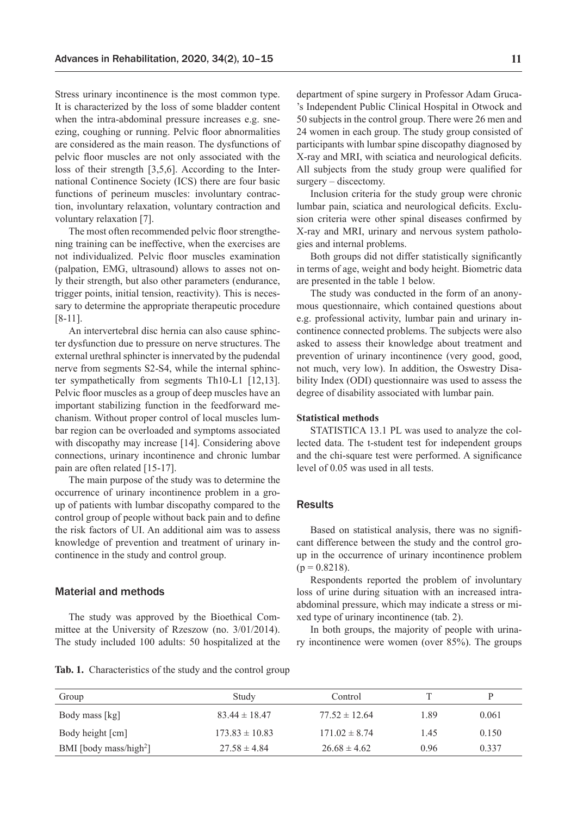Stress urinary incontinence is the most common type. It is characterized by the loss of some bladder content when the intra-abdominal pressure increases e.g. sneezing, coughing or running. Pelvic floor abnormalities are considered as the main reason. The dysfunctions of pelvic floor muscles are not only associated with the loss of their strength [3,5,6]. According to the International Continence Society (ICS) there are four basic functions of perineum muscles: involuntary contraction, involuntary relaxation, voluntary contraction and voluntary relaxation [7].

The most often recommended pelvic floor strengthening training can be ineffective, when the exercises are not individualized. Pelvic floor muscles examination (palpation, EMG, ultrasound) allows to asses not only their strength, but also other parameters (endurance, trigger points, initial tension, reactivity). This is necessary to determine the appropriate therapeutic procedure [8-11].

An intervertebral disc hernia can also cause sphincter dysfunction due to pressure on nerve structures. The external urethral sphincter is innervated by the pudendal nerve from segments S2-S4, while the internal sphincter sympathetically from segments Th10-L1 [12,13]. Pelvic floor muscles as a group of deep muscles have an important stabilizing function in the feedforward mechanism. Without proper control of local muscles lumbar region can be overloaded and symptoms associated with discopathy may increase [14]. Considering above connections, urinary incontinence and chronic lumbar pain are often related [15-17].

The main purpose of the study was to determine the occurrence of urinary incontinence problem in a group of patients with lumbar discopathy compared to the control group of people without back pain and to define the risk factors of UI. An additional aim was to assess knowledge of prevention and treatment of urinary incontinence in the study and control group.

## Material and methods

The study was approved by the Bioethical Committee at the University of Rzeszow (no. 3/01/2014). The study included 100 adults: 50 hospitalized at the department of spine surgery in Professor Adam Gruca- 's Independent Public Clinical Hospital in Otwock and 50 subjects in the control group. There were 26 men and 24 women in each group. The study group consisted of participants with lumbar spine discopathy diagnosed by X-ray and MRI, with sciatica and neurological deficits. All subjects from the study group were qualified for surgery – discectomy.

Inclusion criteria for the study group were chronic lumbar pain, sciatica and neurological deficits. Exclusion criteria were other spinal diseases confirmed by X-ray and MRI, urinary and nervous system pathologies and internal problems.

Both groups did not differ statistically significantly in terms of age, weight and body height. Biometric data are presented in the table 1 below.

The study was conducted in the form of an anonymous questionnaire, which contained questions about e.g. professional activity, lumbar pain and urinary incontinence connected problems. The subjects were also asked to assess their knowledge about treatment and prevention of urinary incontinence (very good, good, not much, very low). In addition, the Oswestry Disability Index (ODI) questionnaire was used to assess the degree of disability associated with lumbar pain.

## **Statistical methods**

STATISTICA 13.1 PL was used to analyze the collected data. The t-student test for independent groups and the chi-square test were performed. A significance level of 0.05 was used in all tests.

#### Results

Based on statistical analysis, there was no significant difference between the study and the control group in the occurrence of urinary incontinence problem  $(p = 0.8218)$ .

Respondents reported the problem of involuntary loss of urine during situation with an increased intraabdominal pressure, which may indicate a stress or mixed type of urinary incontinence (tab. 2).

In both groups, the majority of people with urinary incontinence were women (over 85%). The groups

|  | Tab. 1. Characteristics of the study and the control group |  |  |  |  |
|--|------------------------------------------------------------|--|--|--|--|
|--|------------------------------------------------------------|--|--|--|--|

| Group                              | Study              | Control           |      | D     |
|------------------------------------|--------------------|-------------------|------|-------|
| Body mass [kg]                     | $83.44 \pm 18.47$  | $77.52 \pm 12.64$ | 1.89 | 0.061 |
| Body height [cm]                   | $173.83 \pm 10.83$ | $171.02 \pm 8.74$ | 1.45 | 0.150 |
| BMI [body mass/high <sup>2</sup> ] | $27.58 \pm 4.84$   | $26.68 \pm 4.62$  | 0.96 | 0.337 |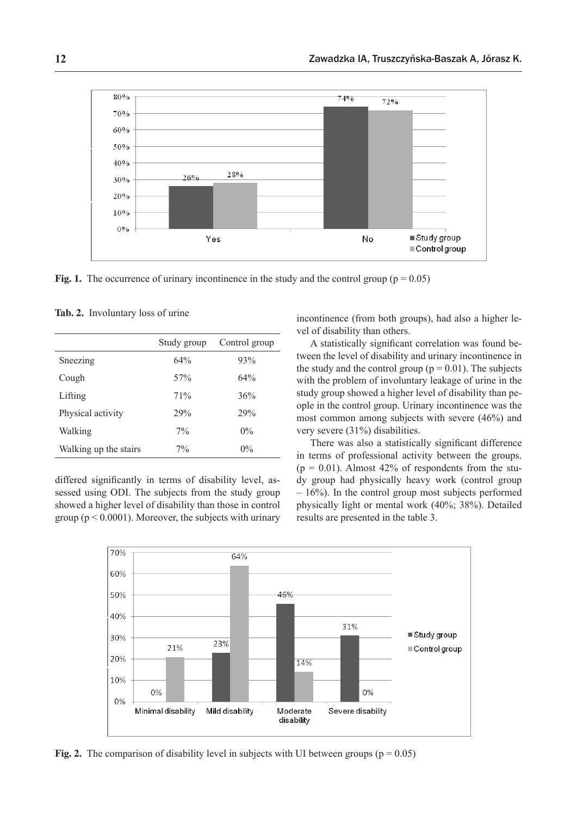

**Fig. 1.** The occurrence of urinary incontinence in the study and the control group ( $p = 0.05$ )

| <b>Tab. 2.</b> Involuntary loss of urine |  |
|------------------------------------------|--|
|------------------------------------------|--|

|                       | Study group     | Control group |
|-----------------------|-----------------|---------------|
| Sneezing              | 64%             | 93%           |
| Cough                 | 57 <sub>%</sub> | 64%           |
| Lifting               | 71%             | 36%           |
| Physical activity     | 29%             | 29%           |
| Walking               | $7\%$           | $0\%$         |
| Walking up the stairs | $7\%$           | $0\%$         |

differed significantly in terms of disability level, assessed using ODI. The subjects from the study group showed a higher level of disability than those in control group ( $p < 0.0001$ ). Moreover, the subjects with urinary incontinence (from both groups), had also a higher level of disability than others.

A statistically significant correlation was found between the level of disability and urinary incontinence in the study and the control group ( $p = 0.01$ ). The subjects with the problem of involuntary leakage of urine in the study group showed a higher level of disability than people in the control group. Urinary incontinence was the most common among subjects with severe (46%) and very severe (31%) disabilities.

There was also a statistically significant difference in terms of professional activity between the groups.  $(p = 0.01)$ . Almost 42% of respondents from the study group had physically heavy work (control group – 16%). In the control group most subjects performed physically light or mental work (40%; 38%). Detailed results are presented in the table 3.



**Fig. 2.** The comparison of disability level in subjects with UI between groups ( $p = 0.05$ )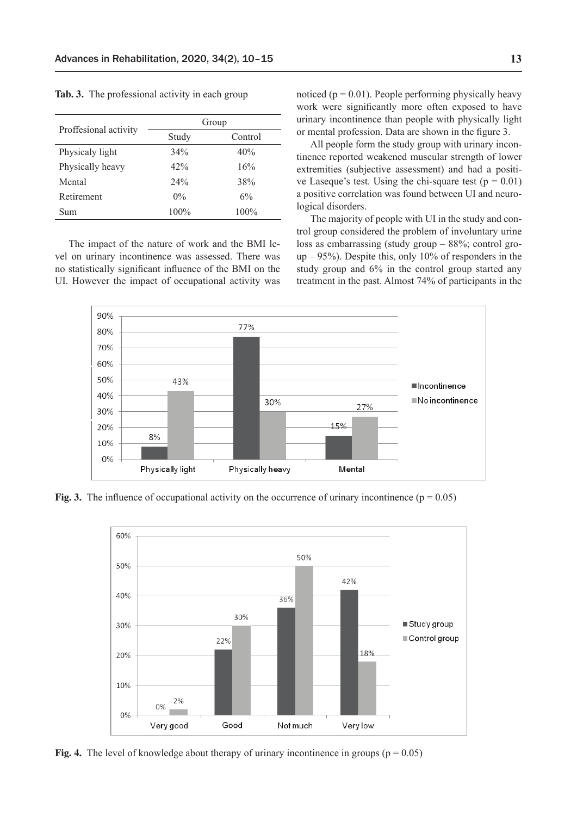|                       | Group |         |  |
|-----------------------|-------|---------|--|
| Proffesional activity | Study | Control |  |
| Physicaly light       | 34%   | 40%     |  |
| Physically heavy      | 42%   | 16%     |  |
| Mental                | 24%   | 38%     |  |
| Retirement            | $0\%$ | 6%      |  |
| Sum                   | 100%  | 100%    |  |

**Tab. 3.** The professional activity in each group

The impact of the nature of work and the BMI level on urinary incontinence was assessed. There was no statistically significant influence of the BMI on the UI. However the impact of occupational activity was noticed ( $p = 0.01$ ). People performing physically heavy work were significantly more often exposed to have urinary incontinence than people with physically light or mental profession. Data are shown in the figure 3.

All people form the study group with urinary incontinence reported weakened muscular strength of lower extremities (subjective assessment) and had a positive Laseque's test. Using the chi-square test ( $p = 0.01$ ) a positive correlation was found between UI and neurological disorders.

The majority of people with UI in the study and control group considered the problem of involuntary urine loss as embarrassing (study group – 88%; control gro $up - 95\%$ ). Despite this, only 10% of responders in the study group and 6% in the control group started any treatment in the past. Almost 74% of participants in the



**Fig. 3.** The influence of occupational activity on the occurrence of urinary incontinence ( $p = 0.05$ )



**Fig. 4.** The level of knowledge about therapy of urinary incontinence in groups ( $p = 0.05$ )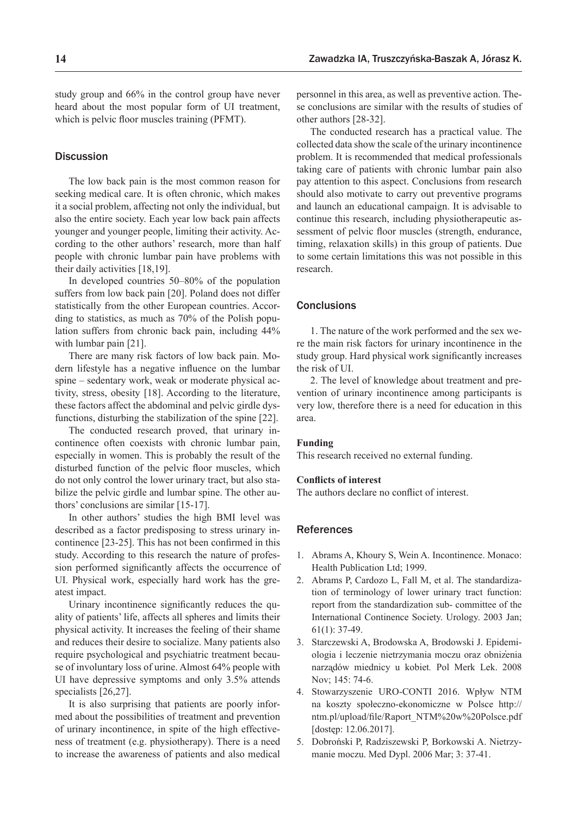study group and 66% in the control group have never heard about the most popular form of UI treatment, which is pelvic floor muscles training (PFMT).

## **Discussion**

The low back pain is the most common reason for seeking medical care. It is often chronic, which makes it a social problem, affecting not only the individual, but also the entire society. Each year low back pain affects younger and younger people, limiting their activity. According to the other authors' research, more than half people with chronic lumbar pain have problems with their daily activities [18,19].

In developed countries 50–80% of the population suffers from low back pain [20]. Poland does not differ statistically from the other European countries. According to statistics, as much as 70% of the Polish population suffers from chronic back pain, including 44% with lumbar pain [21].

There are many risk factors of low back pain. Modern lifestyle has a negative influence on the lumbar spine – sedentary work, weak or moderate physical activity, stress, obesity [18]. According to the literature, these factors affect the abdominal and pelvic girdle dysfunctions, disturbing the stabilization of the spine [22].

The conducted research proved, that urinary incontinence often coexists with chronic lumbar pain, especially in women. This is probably the result of the disturbed function of the pelvic floor muscles, which do not only control the lower urinary tract, but also stabilize the pelvic girdle and lumbar spine. The other authors' conclusions are similar [15-17].

In other authors' studies the high BMI level was described as a factor predisposing to stress urinary incontinence [23-25]. This has not been confirmed in this study. According to this research the nature of profession performed significantly affects the occurrence of UI. Physical work, especially hard work has the greatest impact.

Urinary incontinence significantly reduces the quality of patients' life, affects all spheres and limits their physical activity. It increases the feeling of their shame and reduces their desire to socialize. Many patients also require psychological and psychiatric treatment because of involuntary loss of urine. Almost 64% people with UI have depressive symptoms and only 3.5% attends specialists [26,27].

It is also surprising that patients are poorly informed about the possibilities of treatment and prevention of urinary incontinence, in spite of the high effectiveness of treatment (e.g. physiotherapy). There is a need to increase the awareness of patients and also medical

personnel in this area, as well as preventive action. These conclusions are similar with the results of studies of other authors [28-32].

The conducted research has a practical value. The collected data show the scale of the urinary incontinence problem. It is recommended that medical professionals taking care of patients with chronic lumbar pain also pay attention to this aspect. Conclusions from research should also motivate to carry out preventive programs and launch an educational campaign. It is advisable to continue this research, including physiotherapeutic assessment of pelvic floor muscles (strength, endurance, timing, relaxation skills) in this group of patients. Due to some certain limitations this was not possible in this research.

## **Conclusions**

1. The nature of the work performed and the sex were the main risk factors for urinary incontinence in the study group. Hard physical work significantly increases the risk of UI.

2. The level of knowledge about treatment and prevention of urinary incontinence among participants is very low, therefore there is a need for education in this area.

#### **Funding**

This research received no external funding.

#### **Conflicts of interest**

The authors declare no conflict of interest.

#### References

- 1. Abrams A, Khoury S, Wein A. Incontinence. Monaco: Health Publication Ltd; 1999.
- 2. Abrams P, Cardozo L, Fall M, et al. The standardization of terminology of lower urinary tract function: report from the standardization sub- committee of the International Continence Society. Urology. 2003 Jan; 61(1): 37-49.
- 3. Starczewski A, Brodowska A, Brodowski J. Epidemiologia i leczenie nietrzymania moczu oraz obniżenia narządów miednicy u kobiet*.* Pol Merk Lek. 2008 Nov; 145: 74-6.
- 4. Stowarzyszenie URO-CONTI 2016. Wpływ NTM na koszty społeczno-ekonomiczne w Polsce http:// ntm.pl/upload/file/Raport\_NTM%20w%20Polsce.pdf [dostęp: 12.06.2017].
- 5. Dobroński P, Radziszewski P, Borkowski A. Nietrzymanie moczu. Med Dypl. 2006 Mar; 3: 37-41.